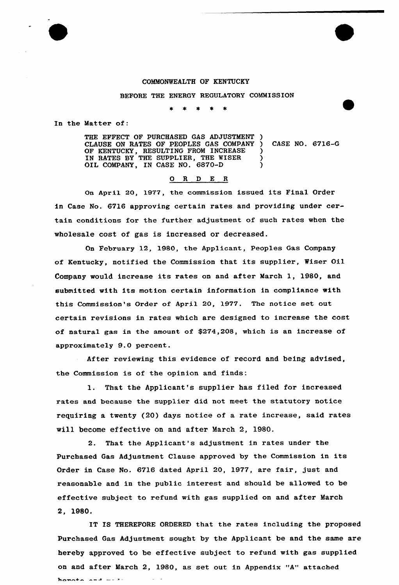### COMMONWEALTH OF KENTUCKY

BEFORE THE ENERGY REGULATORY COMMISSION

 $\pmb{\ast}$  $\star$  $\star$ 

In the Matter of:

THE EFFECT OF PURCHASED GAS ADJUSTMENT CLAUSE ON RATES OF PEOPLES GAS COMPANY OF KENTUCKY, RESULTING FROM INCREASE IN RATES BY THE SUPPLIER, THE WISER OIL COMPANY, IN CASE NO. 6870-D  $\lambda$ ) CASE NO. 6716-G )  $\frac{1}{2}$ )

#### 0 <sup>R</sup> <sup>D</sup> E <sup>R</sup>

On Apri1 20, 1977, the commission issued its Final Order in Case No. 6716 approving certain rates and providing under certain conditions for the further adjustment of such rates when the wholesale cost of gas is increased or decreased.

On February 12, 1980, the Applicant, Peoples Gas Company of Kentucky, notified the Commission that its supplier, Wiser Oil Company would increase its rates on and after March 1, 1980, and submitted with its motion certain information in compliance with this Commission's Order of April 20, 1977. The notice set out certain revisions in rates which are designed to increase the cost of natural gas in the amount of \$274,208, which is an increase of approximately 9.0 pexcent.

After reviewing this evidence of record and being advised, the Commission is of the opinion and finds:

1. That the Applicant's supplier has filed for increased rates and because the supplier did not meet the statutory notice requiring a twenty (20) days notice of a rate increase, said rates will become effective on and after March 2, 1980.

2. That the Applicant's adjustment in rates under the Purchased Gas Adjustment Clause approved by the Commission in its Order in Case No. 6716 dated April 20, 1977, are fair, just and reasonable and in the public interest and should be allowed to be effective subject to refund with gas supplied on and after March 2, 1980.

IT IS THEREFORE ORDERED that the rates including the proposed Purchased Gas Adjustment sought by the Applicant be and the same are hereby approved to be effective subject to refund with gas supplied on and after March 2, 1980, as set out in Appendix "A" attached $h$ anoto sed --  $s$ -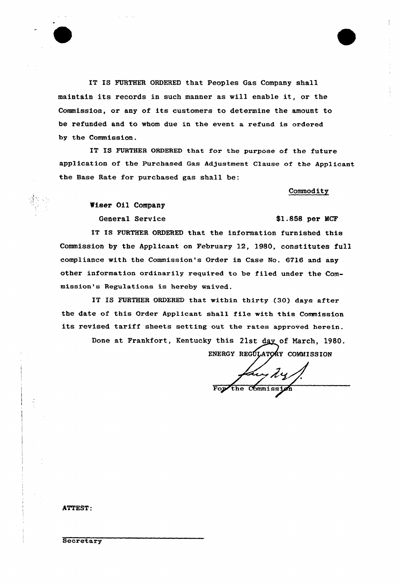IT IS FURTHER ORDERED that Peoples Gas Company shall maintain its records in such manner as vill enable it, or the Commission, or any of its customers to determine the amount to be refunded and to whom due in the event a refund is ordered. by the Commission.

IT IS FURTHER ORDERED that for the purpose of the future application of the Purchased Gas AdJustment Clause of the Applicant the Base Rate for purchased gas shall be:

## Commodity

Viser Oi1 Company

General Service **\$1.858 per MCF** 

IT IS FURTHER ORDERED that the information furnished this Commission by the Applicant on February 12, 1980, constitutes full compliance with the Commission's Order in Case No. 6716 and any other information ordinarily required to be filed under the Commission's Regulations is hereby waived.

IT IS FURTHER ORDERED that within thirty {30) days after the date of this Order Applicant shall file with this Commission its revised tariff sheets setting out the rates approved herein.

Done at Frankfort, Kentucky this 21st day of March, 1980.

ENERGY REGÚLATOŘY COMMISSION fan dy /

ATTEST